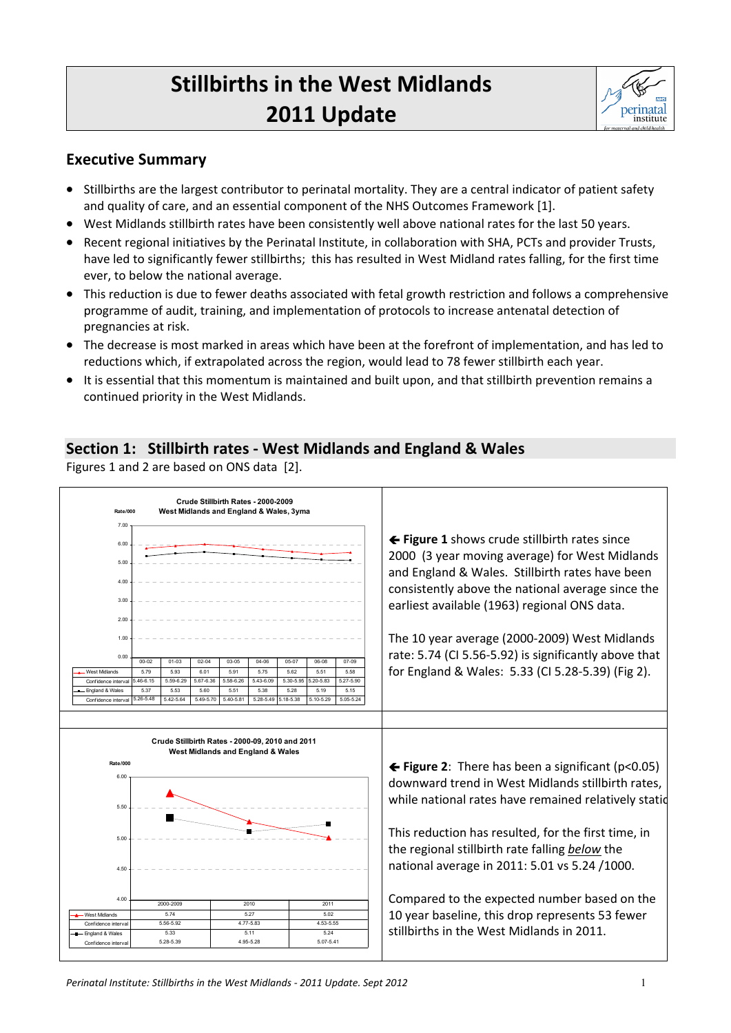# **Stillbirths in the West Midlands 2011 Update**



### **Executive Summary**

- Stillbirths are the largest contributor to perinatal mortality. They are a central indicator of patient safety and quality of care, and an essential component of the NHS Outcomes Framework [1].
- West Midlands stillbirth rates have been consistently well above national rates for the last 50 years.
- Recent regional initiatives by the Perinatal Institute, in collaboration with SHA, PCTs and provider Trusts, have led to significantly fewer stillbirths; this has resulted in West Midland rates falling, for the first time ever, to below the national average.
- This reduction is due to fewer deaths associated with fetal growth restriction and follows a comprehensive programme of audit, training, and implementation of protocols to increase antenatal detection of pregnancies at risk.
- The decrease is most marked in areas which have been at the forefront of implementation, and has led to reductions which, if extrapolated across the region, would lead to 78 fewer stillbirth each year.
- It is essential that this momentum is maintained and built upon, and that stillbirth prevention remains a continued priority in the West Midlands.

## **Section 1: Stillbirth rates ‐ West Midlands and England & Wales**

Figures 1 and 2 are based on ONS data [2].

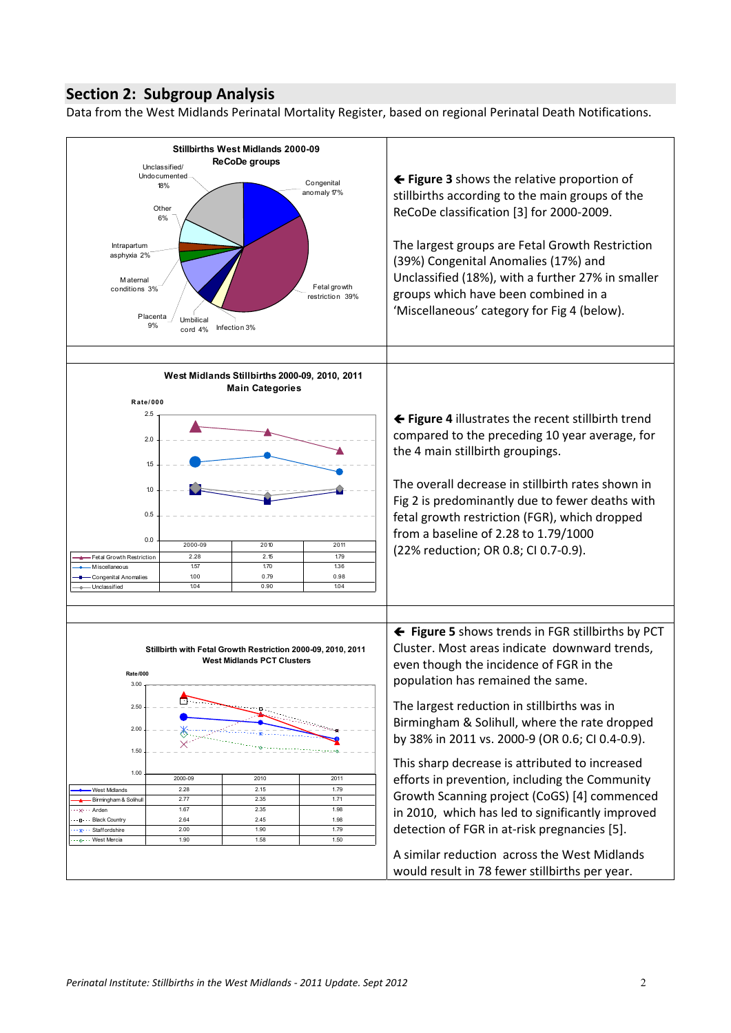### **Section 2: Subgroup Analysis**

Data from the West Midlands Perinatal Mortality Register, based on regional Perinatal Death Notifications.